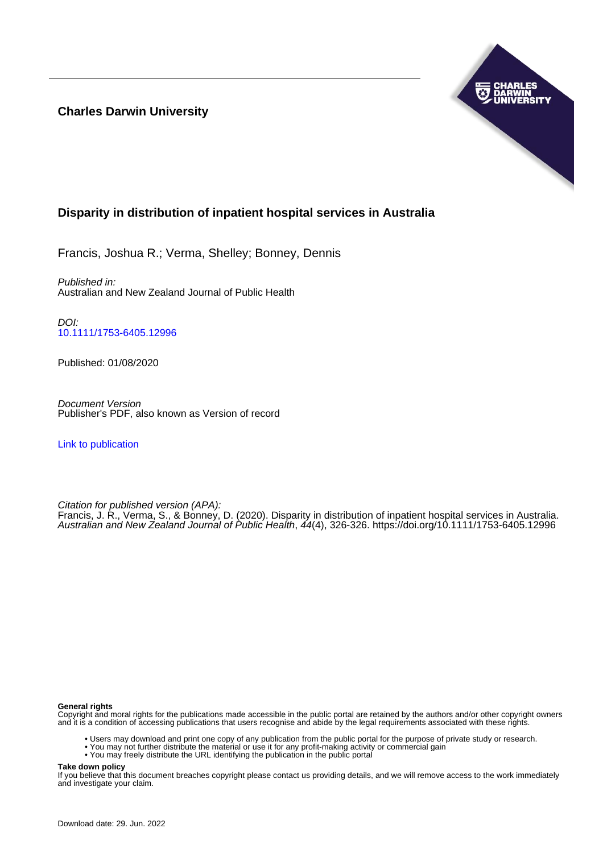## **Charles Darwin University**



## **Disparity in distribution of inpatient hospital services in Australia**

Francis, Joshua R.; Verma, Shelley; Bonney, Dennis

Published in: Australian and New Zealand Journal of Public Health

DOI: [10.1111/1753-6405.12996](https://doi.org/10.1111/1753-6405.12996)

Published: 01/08/2020

Document Version Publisher's PDF, also known as Version of record

[Link to publication](https://researchers.cdu.edu.au/en/publications/1af511c7-a01e-4dde-b888-ac9bd9a22f0d)

Citation for published version (APA):

Francis, J. R., Verma, S., & Bonney, D. (2020). Disparity in distribution of inpatient hospital services in Australia. Australian and New Zealand Journal of Public Health, 44(4), 326-326. <https://doi.org/10.1111/1753-6405.12996>

#### **General rights**

Copyright and moral rights for the publications made accessible in the public portal are retained by the authors and/or other copyright owners and it is a condition of accessing publications that users recognise and abide by the legal requirements associated with these rights.

- Users may download and print one copy of any publication from the public portal for the purpose of private study or research.
- You may not further distribute the material or use it for any profit-making activity or commercial gain
- You may freely distribute the URL identifying the publication in the public portal

**Take down policy**

If you believe that this document breaches copyright please contact us providing details, and we will remove access to the work immediately and investigate your claim.